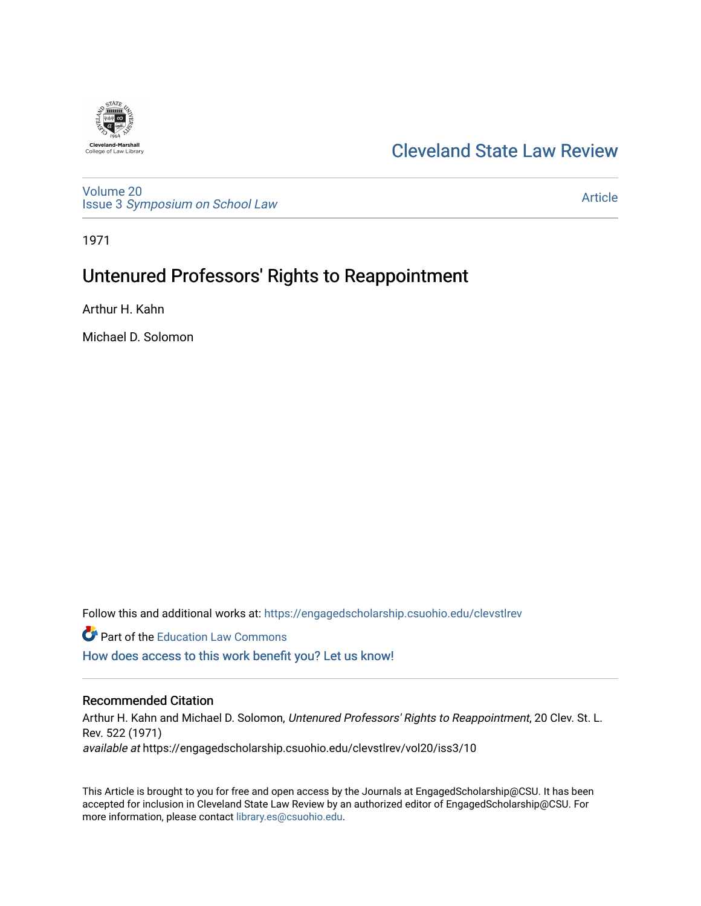

# [Cleveland State Law Review](https://engagedscholarship.csuohio.edu/clevstlrev)

[Volume 20](https://engagedscholarship.csuohio.edu/clevstlrev/vol20) Issue 3 [Symposium on School Law](https://engagedscholarship.csuohio.edu/clevstlrev/vol20/iss3) 

[Article](https://engagedscholarship.csuohio.edu/clevstlrev/vol20/iss3/10) 

1971

# Untenured Professors' Rights to Reappointment

Arthur H. Kahn

Michael D. Solomon

Follow this and additional works at: [https://engagedscholarship.csuohio.edu/clevstlrev](https://engagedscholarship.csuohio.edu/clevstlrev?utm_source=engagedscholarship.csuohio.edu%2Fclevstlrev%2Fvol20%2Fiss3%2F10&utm_medium=PDF&utm_campaign=PDFCoverPages)

**Part of the Education Law Commons** 

[How does access to this work benefit you? Let us know!](http://library.csuohio.edu/engaged/)

## Recommended Citation

Arthur H. Kahn and Michael D. Solomon, Untenured Professors' Rights to Reappointment, 20 Clev. St. L. Rev. 522 (1971) available at https://engagedscholarship.csuohio.edu/clevstlrev/vol20/iss3/10

This Article is brought to you for free and open access by the Journals at EngagedScholarship@CSU. It has been accepted for inclusion in Cleveland State Law Review by an authorized editor of EngagedScholarship@CSU. For more information, please contact [library.es@csuohio.edu](mailto:library.es@csuohio.edu).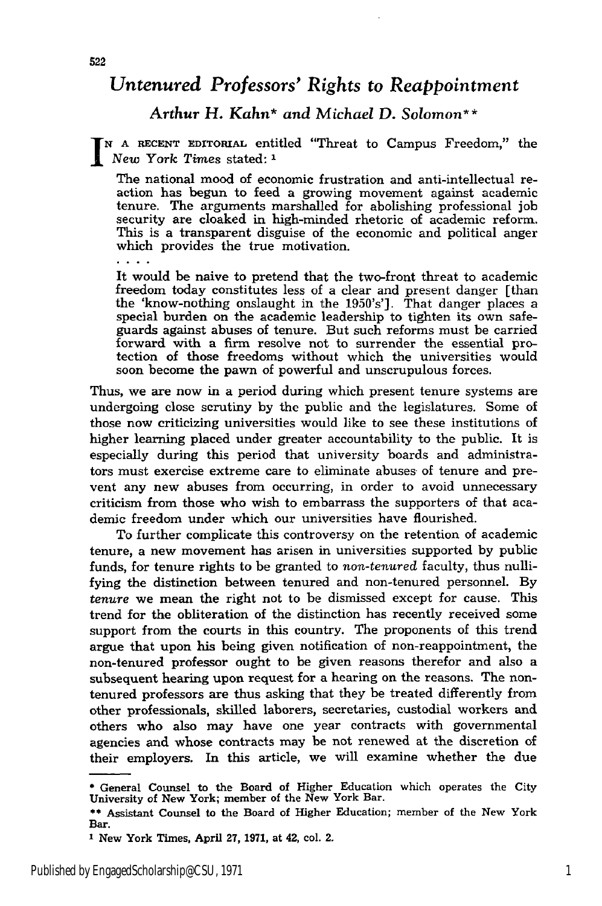# *Untenured Professors' Rights to Reappointment*

### *Arthur H. Kahn\* and Michael D. Solomon\*\**

*<sup>N</sup>***A RECENT EDITORIAL** entitled "Threat to Campus Freedom," the *New York Times* stated: **<sup>1</sup>**

The national mood of economic frustration and anti-intellectual reaction has begun to feed a growing movement against academic tenure. The arguments marshalled for abolishing professional **job** security are cloaked in high-minded rhetoric of academic reform. This is a transparent disguise of the economic and political anger which provides the true motivation.

It would be naive to pretend that the two-front threat to academic freedom today constitutes less of a clear and present danger [than the 'know-nothing onslaught in the 1950's']. That danger places a special burden on the academic leadership to tighten its own safeguards against abuses of tenure. But such reforms must be carried forward with a firm resolve not to surrender the essential protection of those freedoms without which the universities would soon become the pawn of powerful and unscrupulous forces.

Thus, we are now in a period during which present tenure systems are undergoing close scrutiny by the public and the legislatures. Some of those now criticizing universities would like to see these institutions of higher learning placed under greater accountability to the public. It is especially during this period that university boards and administrators must exercise extreme care to eliminate abuses of tenure and prevent any new abuses from occurring, in order to avoid unnecessary criticism from those who wish to embarrass the supporters of that academic freedom under which our universities have flourished.

To further complicate this controversy on the retention of academic tenure, a new movement has arisen in universities supported by public funds, for tenure rights to be granted to *non-tenured* faculty, thus nullifying the distinction between tenured and non-tenured personnel. By *tenure* we mean the right not to be dismissed except for cause. This trend for the obliteration of the distinction has recently received some support from the courts in this country. The proponents of this trend argue that upon his being given notification of non-reappointment, the non-tenured professor ought to be given reasons therefor and also a subsequent hearing upon request for a hearing on the reasons. The nontenured professors are thus asking that they be treated differently from other professionals, skilled laborers, secretaries, custodial workers and others who also may have one year contracts with governmental agencies and whose contracts may be not renewed at the discretion of their employers. In this article, we will examine whether the due

**<sup>\*</sup>** General Counsel to the Board of Higher Education which operates the City University of New York; member of the New York Bar.

**<sup>\*\*</sup>** Assistant Counsel to the Board of Higher Education; member of the New York Bar.

**I** New York Times, April 27, 1971, at 42, col. 2.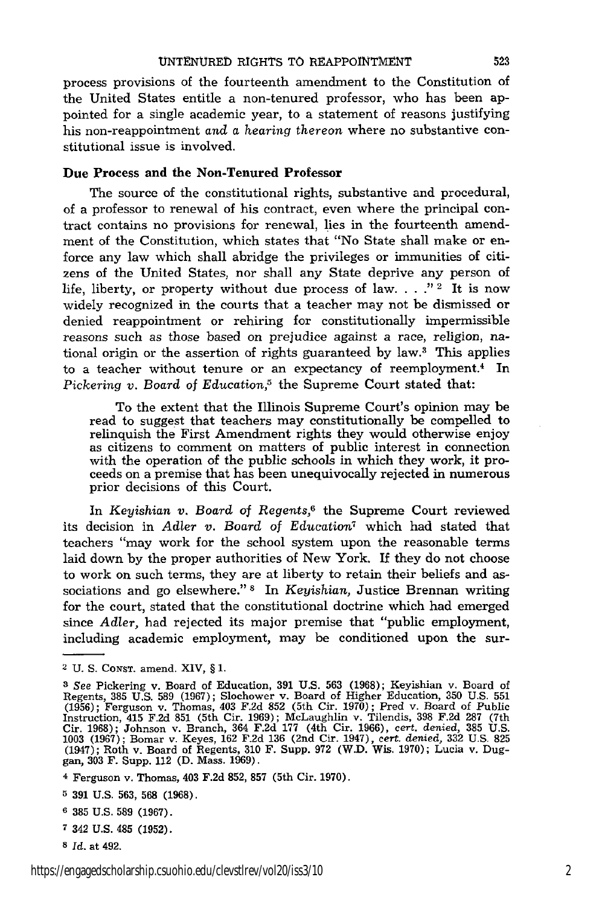process provisions of the fourteenth amendment to the Constitution of the United States entitle a non-tenured professor, who has been appointed for a single academic year, to a statement of reasons justifying his non-reappointment and **a** hearing thereon where no substantive constitutional issue is involved.

#### **Due Process and the Non-Tenured Professor**

**The** source of the constitutional rights, substantive and procedural, of a professor to renewal of his contract, even where the principal contract contains no provisions for renewal, lies in the fourteenth amendment of the Constitution, which states that "No State shall make or enforce any law which shall abridge the privileges or immunities of citizens of the United States, nor shall any State deprive any person of life, liberty, or property without due process of law.  $\ldots$ ."<sup>2</sup> It is now widely recognized in the courts that a teacher may not be dismissed or denied reappointment or rehiring for constitutionally impermissible reasons such as those based on prejudice against a race, religion, national origin or the assertion of rights guaranteed **by** law.3 This applies to a teacher without tenure or an expectancy of reemployment.<sup>4</sup> In *Pickering v. Board* of *Education,5* the Supreme Court stated that:

To the extent that the Illinois Supreme Court's opinion may be read to suggest that teachers may constitutionally be compelled to relinquish the First Amendment rights they would otherwise enjoy as citizens to comment on matters of public interest in connection with the operation of the public schools in which they work, it proceeds on a premise that has been unequivocally rejected in numerous prior decisions of this Court.

**In** *Keyishian v. Board of Regents,6* the Supreme Court reviewed its decision in Adler *v.* Board of Education<sup>7</sup> which had stated that teachers "may work for the school system upon the reasonable terms laid down **by** the proper authorities of New York. If they do not choose to work on such terms, they are at liberty to retain their beliefs and associations and go elsewhere." **8 In** *Keyishian,* Justice Brennan writing for the court, stated that the constitutional doctrine which had emerged since *Adler,* had rejected its major premise that "public employment, including academic employment, may be conditioned upon the sur-

- **7** 342 **U.S.** 485 **(1952).**
- *s Id.* at 492.

**<sup>2</sup> U. S. CONST.** amend. XIV, **§ 1.**

*<sup>3</sup> See* Pickering v. Board of Education, **391 U.S. 563 (1968);** Keyishian v. Board of Regents, 385 U.S. 589 (1967); Slochower v. Board of Higher Education, 350 U.S. 551 (1956); Ferguson v. Thomas, 403 F.2d 852 (5th Cir. 1970); Pred v. Board of Public Instruction, 415 F.2d 851 (5th Cir. 1969); McLaughlin v.

**<sup>4</sup>** Ferguson v. Thomas, 403 **F.2d 852, 857** (5th Cir. **1970).**

**<sup>5 391</sup> U.S. 563, 568 (1968).**

**<sup>6 385</sup> U.S. 589 (1967).**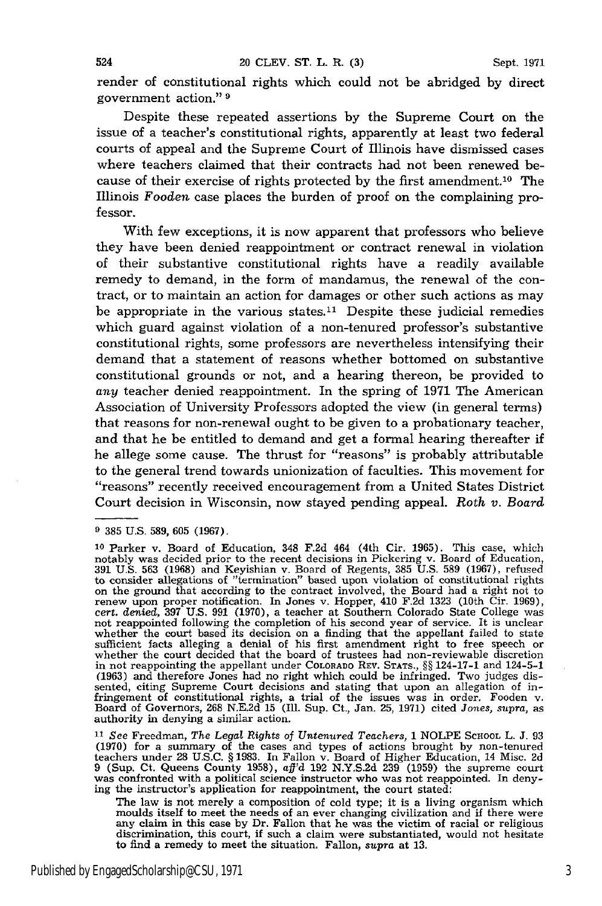render of constitutional rights which could not be abridged by direct government action." **9**

Despite these repeated assertions by the Supreme Court on the issue of a teacher's constitutional rights, apparently at least two federal courts of appeal and the Supreme Court of Illinois have dismissed cases where teachers claimed that their contracts had not been renewed because of their exercise of rights protected by the first amendment.<sup>10</sup> The Illinois *Fooden* case places the burden of proof on the complaining professor.

With few exceptions, it is now apparent that professors who believe they have been denied reappointment or contract renewal in violation of their substantive constitutional rights have a readily available remedy to demand, in the form of mandamus, the renewal of the contract, or to maintain an action for damages or other such actions as may be appropriate in the various states.<sup>11</sup> Despite these judicial remedies which guard against violation of a non-tenured professor's substantive constitutional rights, some professors are nevertheless intensifying their demand that a statement of reasons whether bottomed on substantive constitutional grounds or not, and a hearing thereon, be provided to *any* teacher denied reappointment. In the spring of 1971 The American Association of University Professors adopted the view (in general terms) that reasons for non-renewal ought to be given to a probationary teacher, and that he be entitled to demand and get a formal hearing thereafter if he allege some cause. The thrust for "reasons" is probably attributable to the general trend towards unionization of faculties. This movement for ''reasons" recently received encouragement from a United States District Court decision in Wisconsin, now stayed pending appeal. Roth *v. Board*

<sup>11</sup> See Freedman, The Legal Rights of Untenured Teachers, 1 NOLPE SCHOOL L. J. 93<br>(1970) for a summary of the cases and types of actions brought by non-tenured<br>teachers under 28 U.S.C. § 1983. In Fallon v. Board of Highe was confronted with a political science instructor who was not reappointed. In denying the instructor's application for reappointment, the court stated:

The law is not merely a composition of cold type; it is a living organism which moulds itself to meet the needs of an ever changing civilization and if there were any claim in this case by Dr. Fallon that he was the victim of racial or religious discrimination, this court, if such a claim were substantiated, would not hesitate to find a remedy to meet the situation. Fallon, supra at 13.

**<sup>9</sup>** 385 U.S. 589, 605 (1967).

**<sup>10</sup>**Parker v. Board of Education, 348 F.2d 464 (4th Cir. 1965). This case, which notably was decided prior to the recent decisions in Pickering v. Board of Education,<br>391 U.S. 563 (1968) and Keyishian v. Board of Regents, 385 U.S. 589 (1967), refused<br>to consider allegations of "termination" based upon sufficient facts alleging a denial of his first amendment right to free speech or whether the court decided that the board of trustees had non-reviewable discretion in not reappointing the appellant under COLORADO REV. ST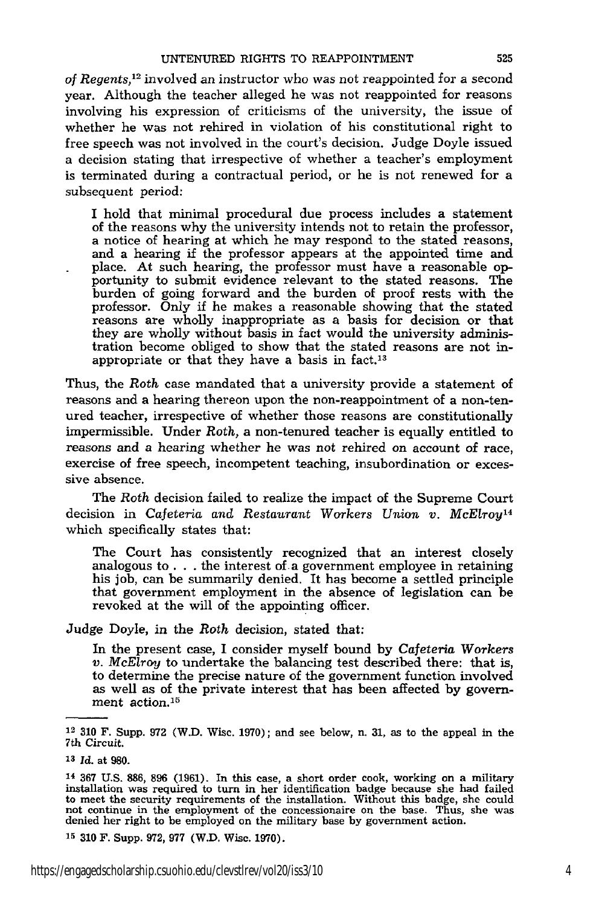*of Regents,12* involved an instructor who was not reappointed for a second year. Although the teacher alleged he was not reappointed for reasons involving his expression of criticisms of the university, the issue of whether he was not rehired in violation of his constitutional right to free speech was not involved in the court's decision. Judge Doyle issued a decision stating that irrespective of whether a teacher's employment is terminated during a contractual period, or he is not renewed for a subsequent period:

I hold that minimal procedural due process includes a statement of the reasons why the university intends not to retain the professor, a notice of hearing at which he may respond to the stated reasons, and a hearing if the professor appears at the appointed time and place. At such hearing, the professor must have a reasonable opportunity to submit evidence relevant to the stated reasons. The burden of going forward and the burden of proof rests with the professor. Only if he makes a reasonable showing that the stated reasons are wholly inappropriate as a basis for decision or that they are wholly without basis in fact would the university administration become obliged to show that the stated reasons are not inappropriate or that they have a basis in fact.<sup>13</sup>

Thus, the Roth case mandated that a university provide a statement of reasons and a hearing thereon upon the non-reappointment of a non-tenured teacher, irrespective of whether those reasons are constitutionally impermissible. Under *Roth,* a non-tenured teacher is equally entitled to reasons and a hearing whether he was not rehired on account of race, exercise of free speech, incompetent teaching, insubordination or excessive absence.

The Roth decision failed to realize the impact of the Supreme Court decision in Cafeteria *and Restaurant Workers Union v. McElroy <sup>14</sup>* which specifically states that:

The Court has consistently recognized that an interest closely analogous to **. .** . the interest of a government employee in retaining his job, can be summarily denied. It has become a settled principle that government employment in the absence of legislation can be revoked at the will of the appointing officer.

Judge Doyle, in the *Roth* decision, stated that:

In the present case, I consider myself bound by Cafeteria *Workers v. McElroy* to undertake the balancing test described there: that is, to determine the precise nature of the government function involved as well as of the private interest that has been affected by government action.<sup>15</sup>

**15 310** F. Supp. **972, 977** (W.D. Wisc. 1970).

**<sup>12</sup>310** F. Supp. 972 (W.D. Wisc. 1970); and see below, n. **31,** as to the appeal in the 7th Circuit.

**<sup>13</sup>***Id.* at **980.**

 $14$  367 U.S. 886, 896 (1961). In this case, a short order cook, working on a military installation was required to turn in her identification badge because she had failed to meet the security requirements of the installa not continue in the employment of the concessionaire on the base. Thus, she was denied her right to be employed on the military base by government action.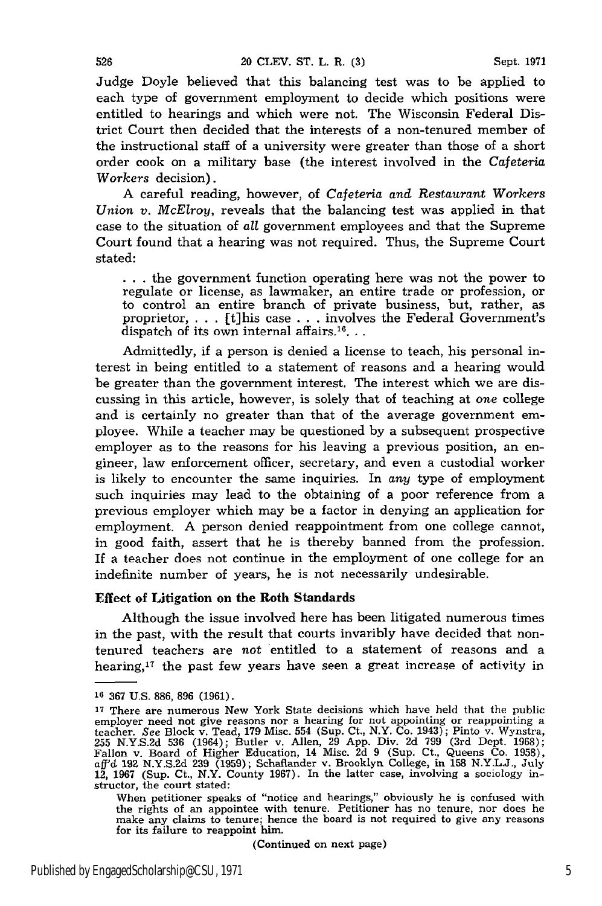Judge Doyle believed that this balancing test was to be applied to each type of government employment to decide which positions were entitled to hearings and which were not. The Wisconsin Federal District Court then decided that the interests of a non-tenured member of the instructional staff of a university were greater than those of a short order cook on a military base (the interest involved in the *Cafeteria Workers* decision).

A careful reading, however, of *Cafeteria and Restaurant Workers Union v. McElroy,* reveals that the balancing test was applied in that case to the situation of *all* government employees and that the Supreme Court found that a hearing was not required. Thus, the Supreme Court stated:

**. . .** the government function operating here was not the power to regulate or license, as lawmaker, an entire trade or profession, or to control an entire branch of private business, but, rather, as proprietor, . . . [t]his case . . . involves the Federal Government's dispatch of its own internal affairs.<sup>16</sup>...

Admittedly, if a person is denied a license to teach, his personal interest in being entitled to a statement of reasons and a hearing would be greater than the government interest. The interest which we are discussing in this article, however, is solely that of teaching at one college and is certainly no greater than that of the average government employee. While a teacher may be questioned by a subsequent prospective employer as to the reasons for his leaving a previous position, an engineer, law enforcement officer, secretary, and even a custodial worker is likely to encounter the same inquiries. In *any* type of employment such inquiries may lead to the obtaining of a poor reference from a previous employer which may be a factor in denying an application for employment. A person denied reappointment from one college cannot, in good faith, assert that he is thereby banned from the profession. If a teacher does not continue in the employment of one college for an indefinite number of years, he is not necessarily undesirable.

#### Effect of Litigation on the Roth Standards

Although the issue involved here has been litigated numerous times in the past, with the result that courts invaribly have decided that nontenured teachers are not entitled to a statement of reasons and a hearing, $17$  the past few years have seen a great increase of activity in

(Continued on next page)

**<sup>16</sup>367** U.S. **886, 896 (1961).**

**<sup>17</sup>**There are numerous New York State decisions which have held that the public employer need not give reasons nor a hearing for not appointing or reappointing a teacher. See Block v. Tead, 179 Misc. 554 (Sup. Ct., N.Y. Co. 1943); Pinto v. Wynstra, 255 N.Y.S.2d 536 (1964); Butler v. Allen, 29 App. Div. 2d 799 (3rd Dept. 1968); Fallon v. Board of Higher Education, 14 Misc. 2d 9 (Sup structor, the court stated:

When petitioner speaks of "notice and hearings," obviously he is confused with the rights of an appointee with tenure. Petitioner has no tenure, nor does he make any claims to tenure; hence the board is not required to give any reasons for its failure to reappoint him.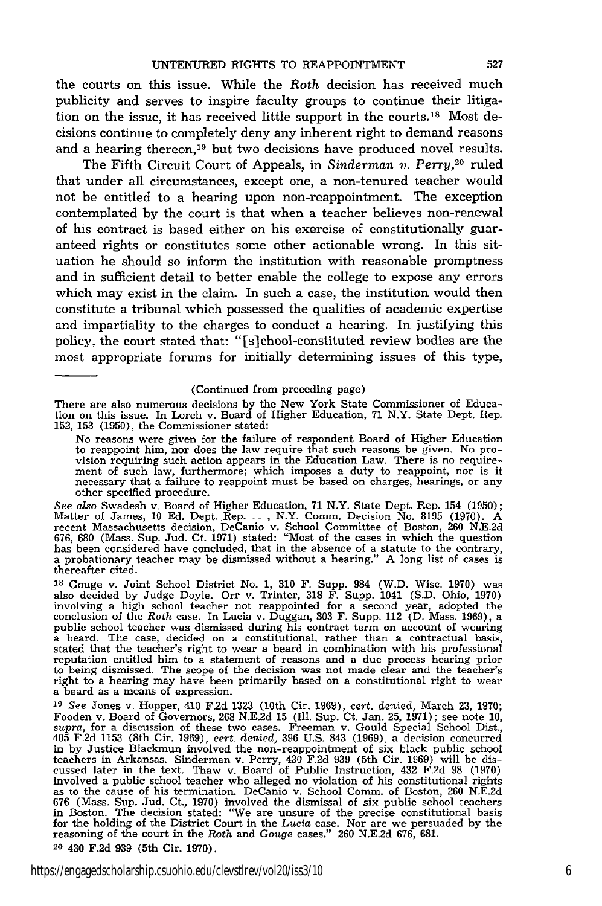the courts on this issue. While the *Roth* decision has received much publicity and serves to inspire faculty groups to continue their litigation on the issue, it has received little support in the courts.<sup>18</sup> Most decisions continue to completely deny any inherent right to demand reasons and a hearing thereon,<sup>19</sup> but two decisions have produced novel results.

The Fifth Circuit Court of Appeals, in *Sinderman v. Perry,20* ruled that under all circumstances, except one, a non-tenured teacher would not be entitled to a hearing upon non-reappointment. The exception contemplated by the court is that when a teacher believes non-renewal of his contract is based either on his exercise of constitutionally guaranteed rights or constitutes some other actionable wrong. In this situation he should so inform the institution with reasonable promptness and in sufficient detail to better enable the college to expose any errors which may exist in the claim. In such a case, the institution would then constitute a tribunal which possessed the qualities of academic expertise and impartiality to the charges to conduct a hearing. In justifying this policy, the court stated that: "[s]chool-constituted review bodies are the most appropriate forums for initially determining issues of this type,

#### (Continued from preceding page)

There are also numerous decisions by the New York State Commissioner of Educa-tion on this issue. In Lorch v. Board of Higher Education, 71 N.Y. State Dept. Rep. 152, 153 (1950), the Commissioner stated:

No reasons were given for the failure of respondent Board of Higher Education to reappoint him, nor does the law require that such reasons be given. No provision requiring such action appears in the Education Law. There is no requirement of such law, furthermore; which imposes a duty to reappoint, nor is it necessary that a failure to reappoint must be based on charges, hear other specified procedure.

See also Swadesh v. Board of Higher Education, 71 N.Y. State Dept. Rep. 154 (1950)<br>Matter of James, 10 Ed. Dept. Rep. <sub>1111</sub>, N.Y. Comm. Decision No. 8195 (1970). A recent Massachusetts decision, DeCanio v. School Committee of Boston, 260 N.E.2d 676, 680 (Mass. Sup. Jud. Ct. 1971) stated: "Most of the cases in which the question has been considered have concluded, that in the absence thereafter cited.

<sup>18</sup> Gouge v. Joint School District No. 1, 310 F. Supp. 984 (W.D. Wisc. 1970) was also decided by Judge Doyle. Orr v. Trinter, 318 F. Supp. 1041 (S.D. Ohio, 1970) involving a high school teacher not reappointed for a seco a beard. The case, decided on a constitutional, rather than a contractual basis, stated that the teacher's right to wear a beard in combination with his professional reputation entitled him to a statement of reasons and a due process hearing prior<br>to being dismissed. The scope of the decision was not made clear and the teacher's<br>right to a hearing may have been primarily based on a con a beard as a means of expression.

<sup>19</sup> See Jones v. Hopper, 410 F.2d 1323 (10th Cir. 1969), cert. denied, March 23, 1970;<br>Fooden v. Board of Governors, 268 N.E.2d 15 (Ill. Sup. Ct. Jan. 25, 1971); see note 10, *supra*, for a discussion of these two cases. in by Justice Blackmun involved the non-reappointment of six black public school teachers in Arkansas. Sinderman v. Perry, 430 F.2d 939 (5th Cir. 1969) will be discussed later in the text. Thaw v. Board of Public Instruction, 432 F.2d 98 (1970) involved a public school teacher who alleged no violation as to the cause of his termination. DeCanio v. School Comm. of Boston, 260 N.E.2d<br>676 (Mass. Sup. Jud. Ct., 1970) involved the dismissal of six public school teachers<br>in Boston. The decision stated: "We are unsure of the p for the holding of the District Court in the *Lucia* case. Nor are we persuaded by the reasoning of the court in the *Roth* and *Gouge* cases." 260 N.E.2d 676, 681. 20 430 F.2d 939 (5th Cir. 1970).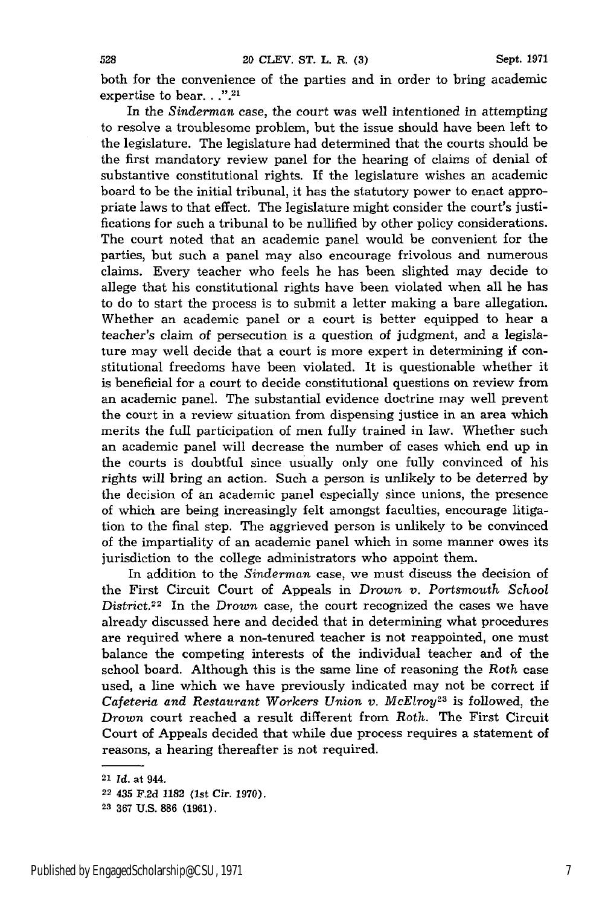both for the convenience of the parties and in order to bring academic expertise to bear. . .".<sup>21</sup>

In the *Sinderman* case, the court was well intentioned in attempting to resolve a troublesome problem, but the issue should have been left to the legislature. The legislature had determined that the courts should be the first mandatory review panel for the hearing of claims of denial of substantive constitutional rights. If the legislature wishes an academic board to be the initial tribunal, it has the statutory power to enact appropriate laws to that effect. The legislature might consider the court's justifications for such a tribunal to be nullified by other policy considerations. The court noted that an academic panel would be convenient for the parties, but such a panel may also encourage frivolous and numerous claims. Every teacher who feels he has been slighted may decide to allege that his constitutional rights have been violated when all he has to do to start the process is to submit a letter making a bare allegation. Whether an academic panel or a court is better equipped to hear a teacher's claim of persecution is a question of judgment, and a legislature may well decide that a court is more expert in determining if constitutional freedoms have been violated. It is questionable whether it is beneficial for a court to decide constitutional questions on review from an academic panel. The substantial evidence doctrine may well prevent the court in a review situation from dispensing justice in an area which merits the full participation of men fully trained in law. Whether such an academic panel will decrease the number of cases which end up in the courts is doubtful since usually only one fully convinced of his rights will bring an action. Such a person is unlikely to be deterred by the decision of an academic panel especially since unions, the presence of which are being increasingly felt amongst faculties, encourage litigation to the final step. The aggrieved person is unlikely to be convinced of the impartiality of an academic panel which in some manner owes its jurisdiction to the college administrators who appoint them.

In addition to the *Sinderman* case, we must discuss the decision of the First Circuit Court of Appeals in *Drown v.* Portsmouth School District.<sup>22</sup> In the *Drown* case, the court recognized the cases we have already discussed here and decided that in determining what procedures are required where a non-tenured teacher is not reappointed, one must balance the competing interests of the individual teacher and of the school board. Although this is the same line of reasoning the Roth case used, a line which we have previously indicated may not be correct if Cafeteria and Restaurant Workers Union v. McElroy<sup>23</sup> is followed, the *Drown* court reached a result different from *Roth.* The First Circuit Court of Appeals decided that while due process requires a statement of reasons, a hearing thereafter is not required.

<sup>21</sup>*Id.* at 944.

**<sup>22</sup>** 435 **F.2d** 1182 (1st Cir. **1970).**

**<sup>23 367</sup> U.S. 886 (1961).**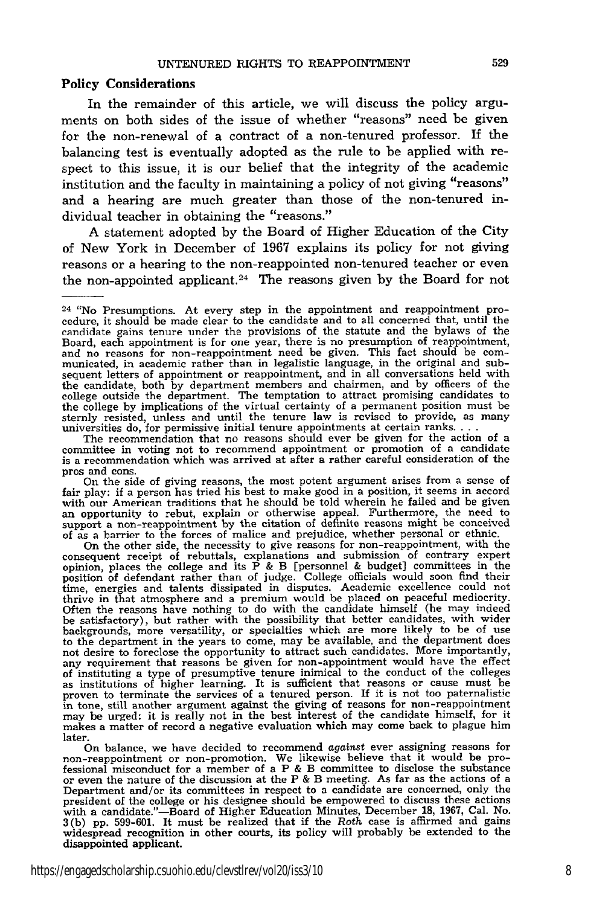#### Policy Considerations

In the remainder of this article, we will discuss the policy arguments on both sides of the issue of whether "reasons" need be given for the non-renewal of a contract of a non-tenured professor. If the balancing test is eventually adopted as the rule to be applied with respect to this issue, it is our belief that the integrity of the academic institution and the faculty in maintaining a policy of not giving "reasons" and a hearing are much greater than those of the non-tenured individual teacher in obtaining the "reasons."

A statement adopted by the Board of Higher Education of the City of New York in December of 1967 explains its policy for not giving reasons or a hearing to the non-reappointed non-tenured teacher or even the non-appointed applicant.<sup>24</sup> The reasons given by the Board for not

The recommendation that no reasons should ever be given for the action of a committee in voting not to recommend appointment or promotion of a candidate is a recommendation which was arrived at after a rather careful consideration of the pros and cons.

On the side of giving reasons, the most potent argument arises from a sense of fair play: if a person has tried his best to make good in a position, it seems in accord with our American traditions that he should be told wherein he failed and be given<br>an opportunity to rebut, explain or otherwise appeal. Furthermore, the need to<br>support a non-reappointment by the citation of definite reas

of as a barrier to the forces of malice and prejudice, whether personal or ethnic.<br>On the other side, the necessity to give reasons for non-reappointment, with the consequent receive of rebuttals, explanations and submissi as institutions of higher learning. It is sufficient that reasons or cause must be<br>proven to terminate the services of a tenured person. If it is not too paternalistic<br>in tone, still another argument against the giving of may be urged: it is really not in the best interest of the candidate himself, for it makes a matter of record a negative evaluation which may come back to plague him later.

On balance, we have decided to recommend *against* ever assigning reasons for on-reappointment or non-promotion. We likewise believe that it would be pro-<br>fessional misconduct for a member of a P & B committee to disclose the substance<br>or even the nature of the discussion at the P & B meeting. As fa Department and/or its committees in respect to a candidate are concerned, only the president of the college or his designee should be empowered to discuss these actions with a candidate."—Board of Higher Education Minutes, December 18, 1967, Cal. No. 3(b) pp. 599-601. It must be realized that if the *Roth* case is affirmed and gains widespread recognition in other courts, its policy will

 $24$  "No Presumptions. At every step in the appointment and reappointment procedure, it should be made clear to the candidate and to all concerned that, until the candidate gains tenure under the provisions of the statute and the bylaws of the Board, each appointment is for one year, there is no presumption of reappointment, and no reasons for non-reappointment need be given. This fact should be communicated, in academic rather than in legalistic language, in the original and subsequent letters of appointment or reappointment, and in all conversations held with the candidate, both by department members and chairmen, and by officers of the college outside the department. The temptation to attract promising candidates to the college by implications of the virtual certainty of a permanent position must be sternly resisted, unless and until the tenure law is re universities do, for permissive initial tenure appointments at certain **ranks....**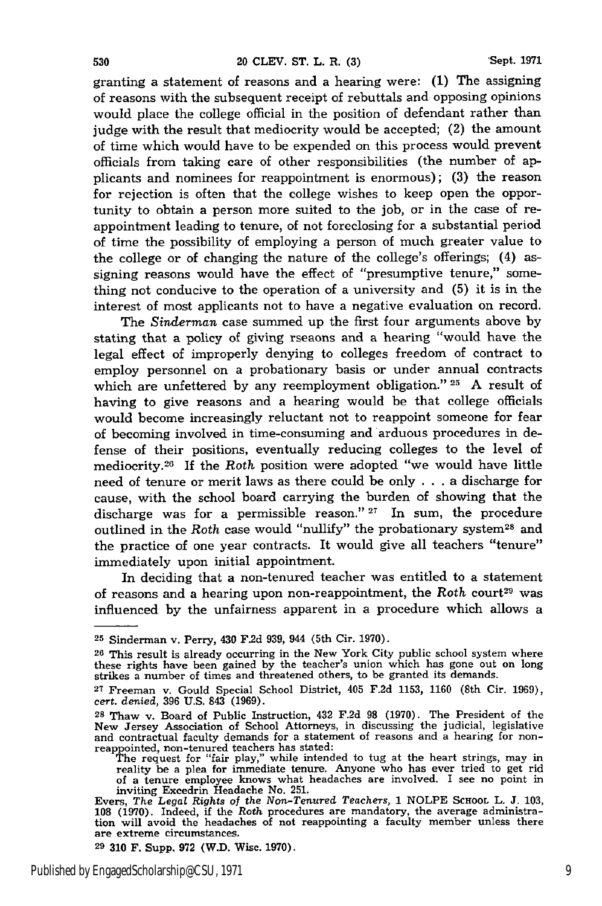granting a statement of reasons and a hearing were: **(1)** The assigning of reasons with the subsequent receipt of rebuttals and opposing opinions would place the college official in the position of defendant rather than judge with the result that mediocrity would be accepted; (2) the amount of time which would have to be expended on this process would prevent officials from taking care of other responsibilities (the number of applicants and nominees for reappointment is enormous); (3) the reason for rejection is often that the college wishes to keep open the opportunity to obtain a person more suited to the job, or in the case of reappointment leading to tenure, of not foreclosing for a substantial period of time the possibility of employing a person of much greater value to the college or of changing the nature of the college's offerings; (4) assigning reasons would have the effect of "presumptive tenure," something not conducive to the operation of a university and (5) it is in the interest of most applicants not to have a negative evaluation on record.

The *Sinderman* case summed up the first four arguments above by stating that a policy of giving rseaons and a hearing "would have the legal effect of improperly denying to colleges freedom of contract to employ personnel on a probationary basis or under annual contracts which are unfettered by any reemployment obligation." **25** A result of having to give reasons and a hearing would be that college officials would become increasingly reluctant not to reappoint someone for fear of becoming involved in time-consuming and arduous procedures in defense of their positions, eventually reducing colleges to the level of mediocrity. 26 If the *Roth* position were adopted "we would have little need of tenure or merit laws as there could be only . . . a discharge for cause, with the school board carrying the burden of showing that the discharge was for a permissible reason." **27** In sum, the procedure outlined in the *Roth* case would "nullify" the probationary system<sup>28</sup> and the practice of one year contracts. It would give all teachers "tenure" immediately upon initial appointment.

In deciding that a non-tenured teacher was entitled to a statement of reasons and a hearing upon non-reappointment, the  $Roth$  court<sup>29</sup> was influenced by the unfairness apparent in a procedure which allows a

**<sup>25</sup>**Sinderman v. Perry, 430 **F.2d** 939, 944 (5th Cir. **1970).**

<sup>26</sup> This result is already occurring in the New York City public school system where these rights have been gained by the teacher's union which has gone out on long strikes a number of times and threatened others, to be granted its demands.

*<sup>27</sup>*Freeman v. Gould Special School District, 405 F.2d 1153, 1160 (8th Cir. 1969), cert. *denied,* 396 U.S. 843 (1969).

**<sup>28</sup>**Thaw v. Board of Public Instruction, 432 F.2d **98** (1970). The President of the New Jersey Association of School Attorneys, in discussing the judicial, legislative and contractual faculty demands for a statement of reasons and a hearing for nonreappointed, non-tenured teachers has stated: The request for "fair play," while intended to tug at the heart strings, may in

reality be a plea for immediate tenure. Anyone who has ever tried to get rid of a tenure employee knows what headaches are involved. I see no point in inviting Excedrin Headache No. 251.

Evers, The *Legal Rights of* the Non-Tenured Teachers, 1 NOLPE **SCHOOL** L. **J.** 103, **108** (1970). Indeed, if the Roth procedures are mandatory, the average administra-tion will avoid the headaches of not reappointing a faculty member unless there are extreme circumstances. **29 310** F. Supp. 972 (W.D. Wisc. 1970).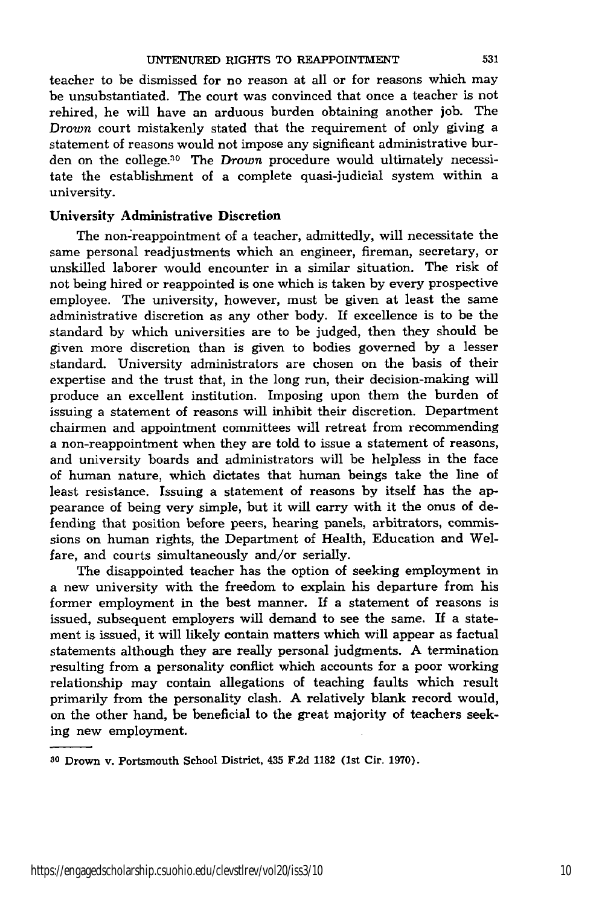teacher to be dismissed for no reason at all or for reasons which may be unsubstantiated. The court was convinced that once a teacher is not rehired, he will have an arduous burden obtaining another job. The *Drown* court mistakenly stated that the requirement of only giving a statement of reasons would not impose any significant administrative burden on the college.<sup>30</sup> The *Drown* procedure would ultimately necessitate the establishment of a complete quasi-judicial system within a university.

### **University Administrative Discretion**

The non-reappointment of a teacher, admittedly, will necessitate the same personal readjustments which an engineer, fireman, secretary, or unskilled laborer would encounter in a similar situation. The risk of not being hired or reappointed is one which is taken by every prospective employee. The university, however, must be given at least the same administrative discretion as any other body. If excellence is to be the standard by which universities are to be judged, then they should be given more discretion than is given to bodies governed by a lesser standard. University administrators are chosen on the basis of their expertise and the trust that, in the long run, their decision-making will produce an excellent institution. Imposing upon them the burden of issuing a statement of reasons will inhibit their discretion. Department chairmen and appointment committees will retreat from recommending a non-reappointment when they are told to issue a statement of reasons, and university boards and administrators will be helpless in the face of human nature, which dictates that human beings take the line of least resistance. Issuing a statement of reasons by itself has the appearance of being very simple, but it will carry with it the onus of defending that position before peers, hearing panels, arbitrators, commissions on human rights, the Department of Health, Education and Welfare, and courts simultaneously and/or serially.

The disappointed teacher has the option of seeking employment in a new university with the freedom to explain his departure from his former employment in the best manner. If a statement of reasons is issued, subsequent employers will demand to see the same. **If** a statement is issued, it will likely contain matters which will appear as factual statements although they are really personal judgments. A termination resulting from a personality conflict which accounts for a poor working relationship may contain allegations of teaching faults which result primarily from the personality clash. A relatively blank record would, on the other hand, be beneficial to the great majority of teachers seeking new employment.

**<sup>30</sup>**Drown v. Portsmouth School District, 435 **F.2d 1182** (1st Cir. **1970).**